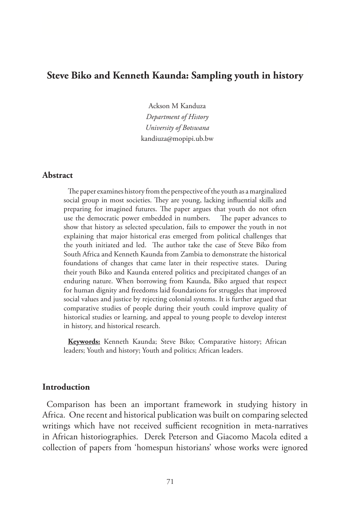# **Steve Biko and Kenneth Kaunda: Sampling youth in history**

Ackson M Kanduza *Department of History University of Botswana*  kandiuza@mopipi.ub.bw

#### **Abstract**

The paper examines history from the perspective of the youth as a marginalized social group in most societies. They are young, lacking influential skills and preparing for imagined futures. The paper argues that youth do not often use the democratic power embedded in numbers. The paper advances to show that history as selected speculation, fails to empower the youth in not explaining that major historical eras emerged from political challenges that the youth initiated and led. The author take the case of Steve Biko from South Africa and Kenneth Kaunda from Zambia to demonstrate the historical foundations of changes that came later in their respective states. During their youth Biko and Kaunda entered politics and precipitated changes of an enduring nature. When borrowing from Kaunda, Biko argued that respect for human dignity and freedoms laid foundations for struggles that improved social values and justice by rejecting colonial systems. It is further argued that comparative studies of people during their youth could improve quality of historical studies or learning, and appeal to young people to develop interest in history, and historical research.

**Keywords:** Kenneth Kaunda; Steve Biko; Comparative history; African leaders; Youth and history; Youth and politics; African leaders.

#### **Introduction**

Comparison has been an important framework in studying history in Africa. One recent and historical publication was built on comparing selected writings which have not received sufficient recognition in meta-narratives in African historiographies. Derek Peterson and Giacomo Macola edited a collection of papers from 'homespun historians' whose works were ignored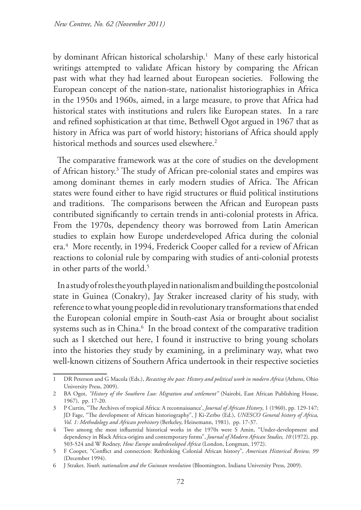by dominant African historical scholarship.1 Many of these early historical writings attempted to validate African history by comparing the African past with what they had learned about European societies. Following the European concept of the nation-state, nationalist historiographies in Africa in the 1950s and 1960s, aimed, in a large measure, to prove that Africa had historical states with institutions and rulers like European states. In a rare and refined sophistication at that time, Bethwell Ogot argued in 1967 that as history in Africa was part of world history; historians of Africa should apply historical methods and sources used elsewhere.<sup>2</sup>

The comparative framework was at the core of studies on the development of African history.3 The study of African pre-colonial states and empires was among dominant themes in early modern studies of Africa. The African states were found either to have rigid structures or fluid political institutions and traditions. The comparisons between the African and European pasts contributed significantly to certain trends in anti-colonial protests in Africa. From the 1970s, dependency theory was borrowed from Latin American studies to explain how Europe underdeveloped Africa during the colonial era.4 More recently, in 1994, Frederick Cooper called for a review of African reactions to colonial rule by comparing with studies of anti-colonial protests in other parts of the world.<sup>5</sup>

In a study of roles the youth played in nationalism and building the postcolonial state in Guinea (Conakry), Jay Straker increased clarity of his study, with reference to what young people did in revolutionary transformations that ended the European colonial empire in South-east Asia or brought about socialist systems such as in China.<sup>6</sup> In the broad context of the comparative tradition such as I sketched out here, I found it instructive to bring young scholars into the histories they study by examining, in a preliminary way, what two well-known citizens of Southern Africa undertook in their respective societies

<sup>1</sup> DR Peterson and G Macola (Eds.), *Recasting the past: History and political work in modern Africa* (Athens, Ohio University Press, 2009).

<sup>2</sup> BA Ogot, *"History of the Southern Luo: Migration and settlement"* (Nairobi, East African Publishing House, 1967), pp. 17-20.

<sup>3</sup> P Curtin, "The Archives of tropical Africa: A reconnaissance', *Journal of African History*, 1 (1960), pp. 129-147; JD Fage, "The development of African historiography", J Ki-Zerbo (Ed.), *UNESCO General history of Africa, Vol. 1: Methodology and African prehistory* (Berkeley, Heinemann, 1981), pp. 17-37.

<sup>4</sup> Two among the most influential historical works in the 1970s were S Amin, "Under-development and dependency in Black Africa-origins and contemporary forms", *Journal of Modern African Studies, 10* (1972), pp. 503-524 and W Rodney, *How Europe underdeveloped Africa* (London, Longman, 1972).

<sup>5</sup> F Cooper, "Conflict and connection: Rethinking Colonial African history", *American Historical Review, 99* (December 1994).

<sup>6</sup> J Straker, *Youth, nationalism and the Guinean revolution* (Bloomington, Indiana University Press, 2009).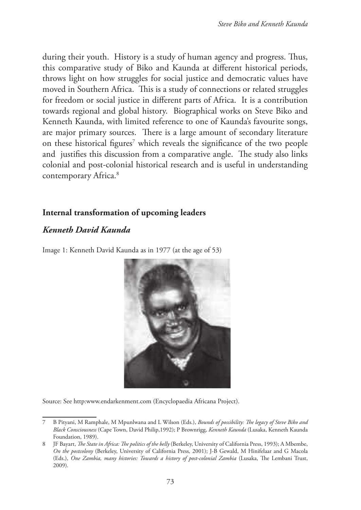during their youth. History is a study of human agency and progress. Thus, this comparative study of Biko and Kaunda at different historical periods, throws light on how struggles for social justice and democratic values have moved in Southern Africa. This is a study of connections or related struggles for freedom or social justice in different parts of Africa. It is a contribution towards regional and global history. Biographical works on Steve Biko and Kenneth Kaunda, with limited reference to one of Kaunda's favourite songs, are major primary sources. There is a large amount of secondary literature on these historical figures<sup>7</sup> which reveals the significance of the two people and justifies this discussion from a comparative angle. The study also links colonial and post-colonial historical research and is useful in understanding contemporary Africa.<sup>8</sup>

# **Internal transformation of upcoming leaders**

# *Kenneth David Kaunda*

Image 1: Kenneth David Kaunda as in 1977 (at the age of 53)



Source: See http:www.endarkenment.com (Encyclopaedia Africana Project).

<sup>7</sup> B Pityani, M Ramphale, M Mpunlwana and L Wilson (Eds.), *Bounds of possibility: The legacy of Steve Biko and Black Consciousness* (Cape Town, David Philip,1992); P Brownrigg, *Kenneth Kaunda* (Lusaka, Kenneth Kaunda Foundation, 1989).

<sup>8</sup> JF Bayart, *The State in Africa: The politics of the belly* (Berkeley, University of California Press, 1993); A Mbembe, *On the postcolony* (Berkeley, University of California Press*,* 2001); J-B Gewald, M Hinifelaar and G Macola (Eds.), *One Zambia, many histories: Towards a history of post-colonial Zambia* (Lusaka, The Lembani Trust, 2009).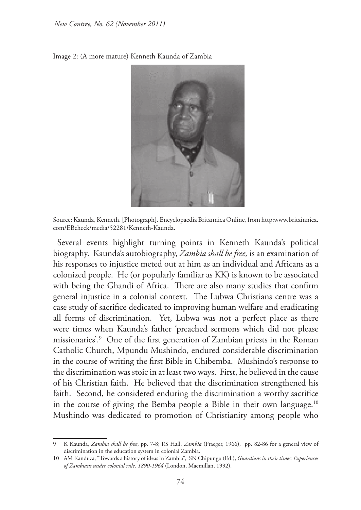Image 2: (A more mature) Kenneth Kaunda of Zambia



Source: Kaunda, Kenneth. [Photograph]. Encyclopaedia Britannica Online, from http:www.britainnica. com/EBcheck/media/52281/Kenneth-Kaunda.

Several events highlight turning points in Kenneth Kaunda's political biography. Kaunda's autobiography, *Zambia shall be free,* is an examination of his responses to injustice meted out at him as an individual and Africans as a colonized people. He (or popularly familiar as KK) is known to be associated with being the Ghandi of Africa. There are also many studies that confirm general injustice in a colonial context. The Lubwa Christians centre was a case study of sacrifice dedicated to improving human welfare and eradicating all forms of discrimination. Yet, Lubwa was not a perfect place as there were times when Kaunda's father 'preached sermons which did not please missionaries'.9 One of the first generation of Zambian priests in the Roman Catholic Church, Mpundu Mushindo, endured considerable discrimination in the course of writing the first Bible in Chibemba. Mushindo's response to the discrimination was stoic in at least two ways. First, he believed in the cause of his Christian faith. He believed that the discrimination strengthened his faith. Second, he considered enduring the discrimination a worthy sacrifice in the course of giving the Bemba people a Bible in their own language.<sup>10</sup> Mushindo was dedicated to promotion of Christianity among people who

<sup>9</sup> K Kaunda, *Zambia shall be free*, pp. 7-8; RS Hall, *Zambia* (Praeger, 1966), pp. 82-86 for a general view of discrimination in the education system in colonial Zambia.

<sup>10</sup> AM Kanduza, "Towards a history of ideas in Zambia", SN Chipungu (Ed.), *Guardians in their times: Experiences of Zambians under colonial rule, 1890-1964* (London, Macmillan, 1992).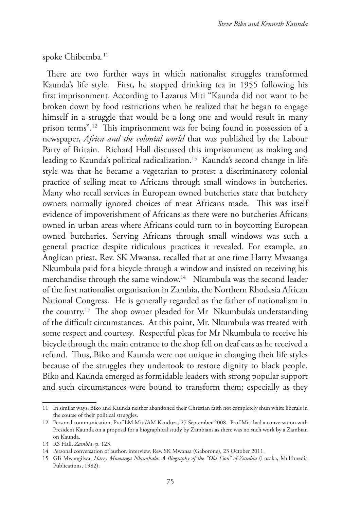spoke Chibemba.<sup>11</sup>

There are two further ways in which nationalist struggles transformed Kaunda's life style. First, he stopped drinking tea in 1955 following his first imprisonment. According to Lazarus Miti "Kaunda did not want to be broken down by food restrictions when he realized that he began to engage himself in a struggle that would be a long one and would result in many prison terms".12 This imprisonment was for being found in possession of a newspaper, *Africa and the colonial world* that was published by the Labour Party of Britain. Richard Hall discussed this imprisonment as making and leading to Kaunda's political radicalization.<sup>13</sup> Kaunda's second change in life style was that he became a vegetarian to protest a discriminatory colonial practice of selling meat to Africans through small windows in butcheries. Many who recall services in European owned butcheries state that butchery owners normally ignored choices of meat Africans made. This was itself evidence of impoverishment of Africans as there were no butcheries Africans owned in urban areas where Africans could turn to in boycotting European owned butcheries. Serving Africans through small windows was such a general practice despite ridiculous practices it revealed. For example, an Anglican priest, Rev. SK Mwansa, recalled that at one time Harry Mwaanga Nkumbula paid for a bicycle through a window and insisted on receiving his merchandise through the same window.<sup>14</sup> Nkumbula was the second leader of the first nationalist organisation in Zambia, the Northern Rhodesia African National Congress. He is generally regarded as the father of nationalism in the country.15 The shop owner pleaded for Mr Nkumbula's understanding of the difficult circumstances. At this point, Mr. Nkumbula was treated with some respect and courtesy. Respectful pleas for Mr Nkumbula to receive his bicycle through the main entrance to the shop fell on deaf ears as he received a refund. Thus, Biko and Kaunda were not unique in changing their life styles because of the struggles they undertook to restore dignity to black people. Biko and Kaunda emerged as formidable leaders with strong popular support and such circumstances were bound to transform them; especially as they

<sup>11</sup> In similar ways, Biko and Kaunda neither abandoned their Christian faith not completely shun white liberals in the course of their political struggles.

<sup>12</sup> Personal communication, Prof LM Miti/AM Kanduza, 27 September 2008. Prof Miti had a conversation with President Kaunda on a proposal for a biographical study by Zambians as there was no such work by a Zambian on Kaunda.

<sup>13</sup> RS Hall, *Zambia*, p. 123.

<sup>14</sup> Personal conversation of author, interview, Rev. SK Mwansa (Gaborone), 23 October 2011.

<sup>15</sup> GB Mwangilwa, *Harry Mwaanga Nkumbula: A Biography of the "Old Lion" of Zambia* (Lusaka, Multimedia Publications, 1982).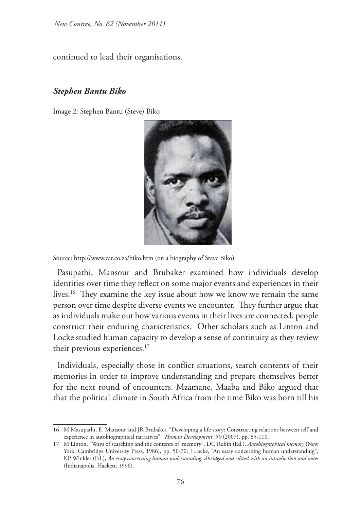continued to lead their organisations.

### *Stephen Bantu Biko*

Image 2: Stephen Bantu (Steve) Biko



Source: http://www.zar.co.za/biko.htm (on a biography of Steve Biko)

Pasupathi, Mansour and Brubaker examined how individuals develop identities over time they reflect on some major events and experiences in their lives.<sup>16</sup> They examine the key issue about how we know we remain the same person over time despite diverse events we encounter. They further argue that as individuals make out how various events in their lives are connected, people construct their enduring characteristics. Other scholars such as Linton and Locke studied human capacity to develop a sense of continuity as they review their previous experiences.<sup>17</sup>

Individuals, especially those in conflict situations, search contents of their memories in order to improve understanding and prepare themselves better for the next round of encounters. Mzamane, Maaba and Biko argued that that the political climate in South Africa from the time Biko was born till his

<sup>16</sup> M Masupathi, E Mansour and JR Brubaker, "Developing a life story: Constructing relations between self and experience in autobiographical narratives", *Human Development, 50* (2007), pp. 85-110.

<sup>17</sup> M Linton, "Ways of searching and the contents of memory", DC Rubin (Ed.), *Autobiographical memory* (New York, Cambridge University Press, 1986), pp. 50-70; J Locke, "An essay concerning human understanding", KP Winkler (Ed.), *An essay concerning human understanding: Abridged and edited with an introduction and notes* (Indianapolis, Hackett, 1996).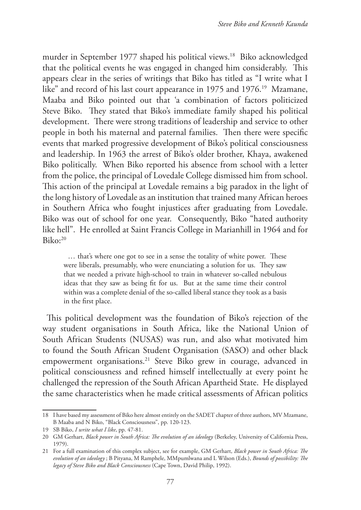murder in September 1977 shaped his political views.18 Biko acknowledged that the political events he was engaged in changed him considerably. This appears clear in the series of writings that Biko has titled as "I write what I like" and record of his last court appearance in 1975 and 1976.<sup>19</sup> Mzamane, Maaba and Biko pointed out that 'a combination of factors politicized Steve Biko. They stated that Biko's immediate family shaped his political development. There were strong traditions of leadership and service to other people in both his maternal and paternal families. Then there were specific events that marked progressive development of Biko's political consciousness and leadership. In 1963 the arrest of Biko's older brother, Khaya, awakened Biko politically. When Biko reported his absence from school with a letter from the police, the principal of Lovedale College dismissed him from school. This action of the principal at Lovedale remains a big paradox in the light of the long history of Lovedale as an institution that trained many African heroes in Southern Africa who fought injustices after graduating from Lovedale. Biko was out of school for one year. Consequently, Biko "hated authority like hell". He enrolled at Saint Francis College in Marianhill in 1964 and for  $Biko:^{20}$ 

… that's where one got to see in a sense the totality of white power. These were liberals, presumably, who were enunciating a solution for us. They saw that we needed a private high-school to train in whatever so-called nebulous ideas that they saw as being fit for us. But at the same time their control within was a complete denial of the so-called liberal stance they took as a basis in the first place.

This political development was the foundation of Biko's rejection of the way student organisations in South Africa, like the National Union of South African Students (NUSAS) was run, and also what motivated him to found the South African Student Organisation (SASO) and other black empowerment organisations.<sup>21</sup> Steve Biko grew in courage, advanced in political consciousness and refined himself intellectually at every point he challenged the repression of the South African Apartheid State. He displayed the same characteristics when he made critical assessments of African politics

<sup>18</sup> I have based my assessment of Biko here almost entirely on the SADET chapter of three authors, MV Mzamane, B Maaba and N Biko, "Black Consciousness", pp. 120-123.

<sup>19</sup> SB Biko, *I write what I like*, pp. 47-81.

<sup>20</sup> GM Gerhart, *Black power in South Africa: The evolution of an ideology* (Berkeley, University of California Press, 1979).

<sup>21</sup> For a full examination of this complex subject, see for example, GM Gerhart, *Black power in South Africa: The evolution of an ideology* ; B Pityana, M Ramphele, MMpumlwana and L Wilson (Eds.), *Bounds of possibility: The legacy of Steve Biko and Black Consciousness* (Cape Town, David Philip, 1992).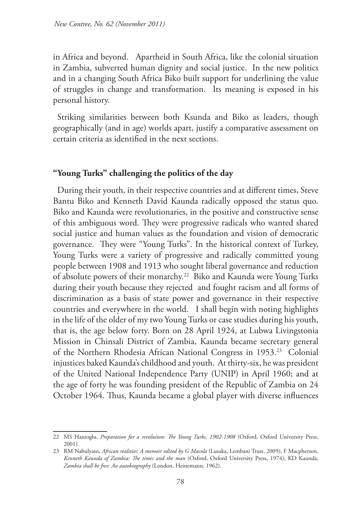in Africa and beyond. Apartheid in South Africa, like the colonial situation in Zambia, subverted human dignity and social justice. In the new politics and in a changing South Africa Biko built support for underlining the value of struggles in change and transformation. Its meaning is exposed in his personal history.

Striking similarities between both Ksunda and Biko as leaders, though geographically (and in age) worlds apart, justify a comparative assessment on certain criteria as identified in the next sections.

### **"Young Turks" challenging the politics of the day**

During their youth, in their respective countries and at different times, Steve Bantu Biko and Kenneth David Kaunda radically opposed the status quo. Biko and Kaunda were revolutionaries, in the positive and constructive sense of this ambiguous word. They were progressive radicals who wanted shared social justice and human values as the foundation and vision of democratic governance. They were "Young Turks". In the historical context of Turkey, Young Turks were a variety of progressive and radically committed young people between 1908 and 1913 who sought liberal governance and reduction of absolute powers of their monarchy.<sup>22</sup> Biko and Kaunda were Young Turks during their youth because they rejected and fought racism and all forms of discrimination as a basis of state power and governance in their respective countries and everywhere in the world. I shall begin with noting highlights in the life of the older of my two Young Turks or case studies during his youth, that is, the age below forty. Born on 28 April 1924, at Lubwa Livingstonia Mission in Chinsali District of Zambia, Kaunda became secretary general of the Northern Rhodesia African National Congress in 1953.<sup>23</sup> Colonial injustices baked Kaunda's childhood and youth. At thirty-six, he was president of the United National Independence Party (UNIP) in April 1960; and at the age of forty he was founding president of the Republic of Zambia on 24 October 1964. Thus, Kaunda became a global player with diverse influences

<sup>22</sup> MS Hanioglu, *Preparation for a revolution: The Young Turks, 1902-1908* (Oxford, Oxford University Press, 2001).

<sup>23</sup> RM Nabulyato, *African realities*: *A memoir edited by G Macola* (Lusaka, Lembani Trust, 2009); F Macpherson, *Kenneth Kaunda of Zambia: The times and the man* (Oxford, Oxford University Press, 1974); KD Kaunda, *Zambia shall be free: An autobiography* (London, Heinemann, 1962).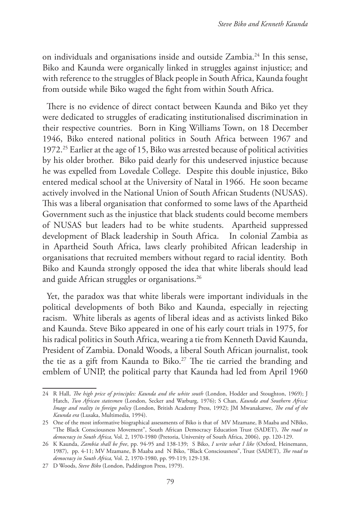on individuals and organisations inside and outside Zambia.24 In this sense, Biko and Kaunda were organically linked in struggles against injustice; and with reference to the struggles of Black people in South Africa, Kaunda fought from outside while Biko waged the fight from within South Africa.

There is no evidence of direct contact between Kaunda and Biko yet they were dedicated to struggles of eradicating institutionalised discrimination in their respective countries. Born in King Williams Town, on 18 December 1946, Biko entered national politics in South Africa between 1967 and 1972.25 Earlier at the age of 15, Biko was arrested because of political activities by his older brother. Biko paid dearly for this undeserved injustice because he was expelled from Lovedale College. Despite this double injustice, Biko entered medical school at the University of Natal in 1966. He soon became actively involved in the National Union of South African Students (NUSAS). This was a liberal organisation that conformed to some laws of the Apartheid Government such as the injustice that black students could become members of NUSAS but leaders had to be white students. Apartheid suppressed development of Black leadership in South Africa. In colonial Zambia as in Apartheid South Africa, laws clearly prohibited African leadership in organisations that recruited members without regard to racial identity. Both Biko and Kaunda strongly opposed the idea that white liberals should lead and guide African struggles or organisations.<sup>26</sup>

Yet, the paradox was that white liberals were important individuals in the political developments of both Biko and Kaunda, especially in rejecting racism. White liberals as agents of liberal ideas and as activists linked Biko and Kaunda. Steve Biko appeared in one of his early court trials in 1975, for his radical politics in South Africa, wearing a tie from Kenneth David Kaunda, President of Zambia. Donald Woods, a liberal South African journalist, took the tie as a gift from Kaunda to Biko.<sup>27</sup> The tie carried the branding and emblem of UNIP, the political party that Kaunda had led from April 1960

<sup>24</sup> R Hall, *The high price of principles: Kaunda and the white south* (London, Hodder and Stoughton, 1969); J Hatch, *Two African statesmen* (London, Secker and Warburg, 1976); S Chan, *Kaunda and Southern Africa: Image and reality in foreign policy* (London, British Academy Press, 1992); JM Mwanakatwe, *The end of the Kaunda era* (Lusaka, Multimedia, 1994).

<sup>25</sup> One of the most informative biographical assessments of Biko is that of MV Mzamane, B Maaba and NBiko, "The Black Consciousness Movement", South African Democracy Education Trust (SADET), *The road to democracy in South Africa,* Vol. 2, 1970-1980 (Pretoria, University of South Africa, 2006), pp. 120-129.

<sup>26</sup> K Kaunda, *Zambia shall be free*, pp. 94-95 and 138-139; S Biko, *I write what I like* (Oxford, Heinemann, 1987), pp. 4-11; MV Mzamane, B Maaba and N Biko, "Black Consciousness", Trust (SADET), *The road to democracy in South Africa,* Vol. 2, 1970-1980, pp. 99-119; 129-138.

<sup>27</sup> D Woods, *Steve Biko* (London, Paddington Press, 1979).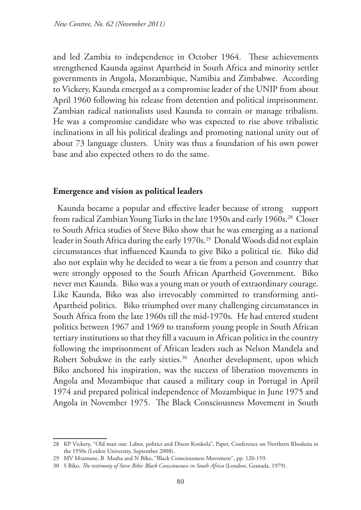and led Zambia to independence in October 1964. These achievements strengthened Kaunda against Apartheid in South Africa and minority settler governments in Angola, Mozambique, Namibia and Zimbabwe. According to Vickery, Kaunda emerged as a compromise leader of the UNIP from about April 1960 following his release from detention and political imprisonment. Zambian radical nationalists used Kaunda to contain or manage tribalism. He was a compromise candidate who was expected to rise above tribalistic inclinations in all his political dealings and promoting national unity out of about 73 language clusters. Unity was thus a foundation of his own power base and also expected others to do the same.

### **Emergence and vision as political leaders**

Kaunda became a popular and effective leader because of strong support from radical Zambian Young Turks in the late 1950s and early 1960s.<sup>28</sup> Closer to South Africa studies of Steve Biko show that he was emerging as a national leader in South Africa during the early 1970s.<sup>29</sup> Donald Woods did not explain circumstances that influenced Kaunda to give Biko a political tie. Biko did also not explain why he decided to wear a tie from a person and country that were strongly opposed to the South African Apartheid Government. Biko never met Kaunda. Biko was a young man or youth of extraordinary courage. Like Kaunda, Biko was also irrevocably committed to transforming anti-Apartheid politics. Biko triumphed over many challenging circumstances in South Africa from the late 1960s till the mid-1970s. He had entered student politics between 1967 and 1969 to transform young people in South African tertiary institutions so that they fill a vacuum in African politics in the country following the imprisonment of African leaders such as Nelson Mandela and Robert Sobukwe in the early sixties.<sup>30</sup> Another development, upon which Biko anchored his inspiration, was the success of liberation movements in Angola and Mozambique that caused a military coup in Portugal in April 1974 and prepared political independence of Mozambique in June 1975 and Angola in November 1975. The Black Consciousness Movement in South

<sup>28</sup> KP Vickery, "Old man out: Labor, politics and Dixon Konkola", Paper, Conference on Northern Rhodesia in the 1950s (Leiden University, September 2008).

<sup>29</sup> MV Mzamane, B Maaba and N Biko, "Black Consciousness Movement", pp. 120-159.

<sup>30</sup> S Biko, *The testimony of Steve Biko: Black Consciousness in South Africa* (London, Granada, 1979).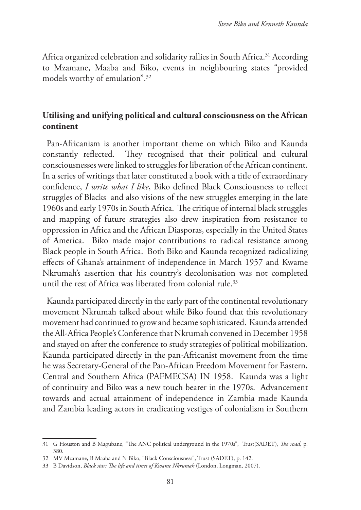Africa organized celebration and solidarity rallies in South Africa.<sup>31</sup> According to Mzamane, Maaba and Biko, events in neighbouring states "provided models worthy of emulation".32

# **Utilising and unifying political and cultural consciousness on the African continent**

Pan-Africanism is another important theme on which Biko and Kaunda constantly reflected. They recognised that their political and cultural consciousnesses were linked to struggles for liberation of the African continent. In a series of writings that later constituted a book with a title of extraordinary confidence, *I write what I like*, Biko defined Black Consciousness to reflect struggles of Blacks and also visions of the new struggles emerging in the late 1960s and early 1970s in South Africa. The critique of internal black struggles and mapping of future strategies also drew inspiration from resistance to oppression in Africa and the African Diasporas, especially in the United States of America. Biko made major contributions to radical resistance among Black people in South Africa. Both Biko and Kaunda recognized radicalizing effects of Ghana's attainment of independence in March 1957 and Kwame Nkrumah's assertion that his country's decolonisation was not completed until the rest of Africa was liberated from colonial rule.<sup>33</sup>

Kaunda participated directly in the early part of the continental revolutionary movement Nkrumah talked about while Biko found that this revolutionary movement had continued to grow and became sophisticated. Kaunda attended the All-Africa People's Conference that Nkrumah convened in December 1958 and stayed on after the conference to study strategies of political mobilization. Kaunda participated directly in the pan-Africanist movement from the time he was Secretary-General of the Pan-African Freedom Movement for Eastern, Central and Southern Africa (PAFMECSA) IN 1958. Kaunda was a light of continuity and Biko was a new touch bearer in the 1970s. Advancement towards and actual attainment of independence in Zambia made Kaunda and Zambia leading actors in eradicating vestiges of colonialism in Southern

<sup>31</sup> G Houston and B Magubane, "The ANC political underground in the 1970s", Trust(SADET), *The road,* p. 380.

<sup>32</sup> MV Mzamane, B Maaba and N Biko, "Black Consciousness", Trust (SADET), p. 142.

<sup>33</sup> B Davidson, *Black star: The life and times of Kwame Nkrumah* (London, Longman, 2007).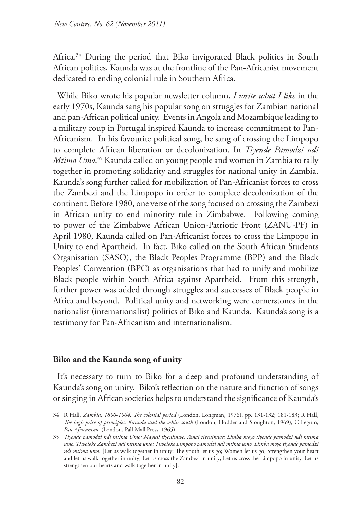Africa.34 During the period that Biko invigorated Black politics in South African politics, Kaunda was at the frontline of the Pan-Africanist movement dedicated to ending colonial rule in Southern Africa.

While Biko wrote his popular newsletter column, *I write what I like* in the early 1970s, Kaunda sang his popular song on struggles for Zambian national and pan-African political unity. Events in Angola and Mozambique leading to a military coup in Portugal inspired Kaunda to increase commitment to Pan-Africanism. In his favourite political song, he sang of crossing the Limpopo to complete African liberation or decolonization. In *Tiyende Pamodzi ndi Mtima Umo*, 35 Kaunda called on young people and women in Zambia to rally together in promoting solidarity and struggles for national unity in Zambia. Kaunda's song further called for mobilization of Pan-Africanist forces to cross the Zambezi and the Limpopo in order to complete decolonization of the continent. Before 1980, one verse of the song focused on crossing the Zambezi in African unity to end minority rule in Zimbabwe. Following coming to power of the Zimbabwe African Union-Patriotic Front (ZANU-PF) in April 1980, Kaunda called on Pan-Africanist forces to cross the Limpopo in Unity to end Apartheid. In fact, Biko called on the South African Students Organisation (SASO), the Black Peoples Programme (BPP) and the Black Peoples' Convention (BPC) as organisations that had to unify and mobilize Black people within South Africa against Apartheid. From this strength, further power was added through struggles and successes of Black people in Africa and beyond. Political unity and networking were cornerstones in the nationalist (internationalist) politics of Biko and Kaunda. Kaunda's song is a testimony for Pan-Africanism and internationalism.

## **Biko and the Kaunda song of unity**

It's necessary to turn to Biko for a deep and profound understanding of Kaunda's song on unity. Biko's reflection on the nature and function of songs or singing in African societies helps to understand the significance of Kaunda's

<sup>34</sup> R Hall, *Zambia, 1890-1964: The colonial period* (London, Longman, 1976), pp. 131-132; 181-183; R Hall, *The high price of principles: Kaunda and the white south* (London, Hodder and Stoughton, 1969); C Legum, *Pan-Africanism* (London, Pall Mall Press, 1965).

<sup>35</sup> *Tiyende pamodzi ndi mtima Umo; Mayusi tiyenimwe; Amai tiyenimwe; Limba moyo tiyende pamodzi ndi mtima umo. Tiwoloke Zambezi ndi mtima umo; Tiwoloke Limpopo pamodzi ndi mtima umo. Limba moyo tiyende pamodzi ndi mtima umo.* [Let us walk together in unity; The youth let us go; Women let us go; Strengthen your heart and let us walk together in unity; Let us cross the Zambezi in unity; Let us cross the Limpopo in unity. Let us strengthen our hearts and walk together in unity].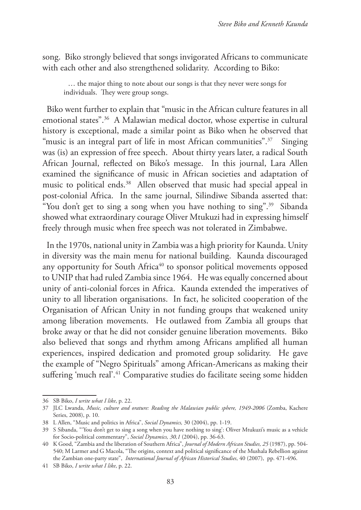song. Biko strongly believed that songs invigorated Africans to communicate with each other and also strengthened solidarity. According to Biko:

… the major thing to note about our songs is that they never were songs for individuals. They were group songs.

Biko went further to explain that "music in the African culture features in all emotional states".36 A Malawian medical doctor, whose expertise in cultural history is exceptional, made a similar point as Biko when he observed that "music is an integral part of life in most African communities".<sup>37</sup> Singing was (is) an expression of free speech. About thirty years later, a radical South African Journal, reflected on Biko's message. In this journal, Lara Allen examined the significance of music in African societies and adaptation of music to political ends.<sup>38</sup> Allen observed that music had special appeal in post-colonial Africa. In the same journal, Silindiwe Sibanda asserted that: "You don't get to sing a song when you have nothing to sing".39 Sibanda showed what extraordinary courage Oliver Mtukuzi had in expressing himself freely through music when free speech was not tolerated in Zimbabwe.

In the 1970s, national unity in Zambia was a high priority for Kaunda. Unity in diversity was the main menu for national building. Kaunda discouraged any opportunity for South Africa<sup>40</sup> to sponsor political movements opposed to UNIP that had ruled Zambia since 1964. He was equally concerned about unity of anti-colonial forces in Africa. Kaunda extended the imperatives of unity to all liberation organisations. In fact, he solicited cooperation of the Organisation of African Unity in not funding groups that weakened unity among liberation movements. He outlawed from Zambia all groups that broke away or that he did not consider genuine liberation movements. Biko also believed that songs and rhythm among Africans amplified all human experiences, inspired dedication and promoted group solidarity. He gave the example of "Negro Spirituals" among African-Americans as making their suffering 'much real'.<sup>41</sup> Comparative studies do facilitate seeing some hidden

<sup>36</sup> SB Biko, *I write what I like*, p. 22.

<sup>37</sup> JLC Lwanda, *Music, culture and orature: Reading the Malawian public sphere, 1949-2006* (Zomba, Kachere Series, 2008), p. 10.

<sup>38</sup> L Allen, "Music and politics in Africa", *Social Dynamics,* 30 (2004), pp. 1-19.

<sup>39</sup> S Sibanda, "'You don't get to sing a song when you have nothing to sing': Oliver Mtukuzi's music as a vehicle for Socio-political commentary", *Social Dynamics, 30,1* (2004), pp. 36-63.

<sup>40</sup> K Good, "Zambia and the liberation of Southern Africa", *Journal of Modern African Studies, 25* (1987), pp. 504- 540; M Larmer and G Macola, "The origins, context and political significance of the Mushala Rebellion against the Zambian one-party state", *International Journal of African Historical Studies*, 40 (2007), pp. 471-496.

<sup>41</sup> SB Biko, *I write what I like*, p. 22.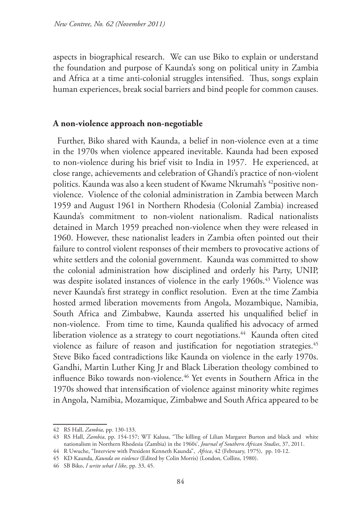aspects in biographical research. We can use Biko to explain or understand the foundation and purpose of Kaunda's song on political unity in Zambia and Africa at a time anti-colonial struggles intensified. Thus, songs explain human experiences, break social barriers and bind people for common causes.

### **A non-violence approach non-negotiable**

Further, Biko shared with Kaunda, a belief in non-violence even at a time in the 1970s when violence appeared inevitable. Kaunda had been exposed to non-violence during his brief visit to India in 1957. He experienced, at close range, achievements and celebration of Ghandi's practice of non-violent politics. Kaunda was also a keen student of Kwame Nkrumah's <sup>42</sup>positive nonviolence. Violence of the colonial administration in Zambia between March 1959 and August 1961 in Northern Rhodesia (Colonial Zambia) increased Kaunda's commitment to non-violent nationalism. Radical nationalists detained in March 1959 preached non-violence when they were released in 1960. However, these nationalist leaders in Zambia often pointed out their failure to control violent responses of their members to provocative actions of white settlers and the colonial government. Kaunda was committed to show the colonial administration how disciplined and orderly his Party, UNIP, was despite isolated instances of violence in the early 1960s.<sup>43</sup> Violence was never Kaunda's first strategy in conflict resolution. Even at the time Zambia hosted armed liberation movements from Angola, Mozambique, Namibia, South Africa and Zimbabwe, Kaunda asserted his unqualified belief in non-violence. From time to time, Kaunda qualified his advocacy of armed liberation violence as a strategy to court negotiations.<sup>44</sup> Kaunda often cited violence as failure of reason and justification for negotiation strategies.<sup>45</sup> Steve Biko faced contradictions like Kaunda on violence in the early 1970s. Gandhi, Martin Luther King Jr and Black Liberation theology combined to influence Biko towards non-violence.<sup>46</sup> Yet events in Southern Africa in the 1970s showed that intensification of violence against minority white regimes in Angola, Namibia, Mozamique, Zimbabwe and South Africa appeared to be

<sup>42</sup> RS Hall, *Zambia,* pp. 130-133.

<sup>43</sup> RS Hall, *Zambia*, pp. 154-157; WT Kalusa, "The killing of Lilian Margaret Burton and black and white nationalism in Northern Rhodesia (Zambia) in the 1960s', *Journal of Southern African Studies*, 37, 2011.

<sup>44</sup> R Uwuche, "Interview with President Kenneth Kaunda", *Africa*, 42 (February, 1975), pp. 10-12.

<sup>45</sup> KD Kaunda, *Kaunda on violence* (Edited by Colin Morris) (London, Collins, 1980).

<sup>46</sup> SB Biko, *I write what I like*, pp. 33, 45.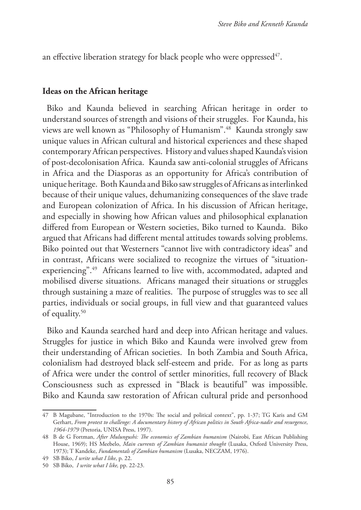an effective liberation strategy for black people who were oppressed  $47$ .

#### **Ideas on the African heritage**

Biko and Kaunda believed in searching African heritage in order to understand sources of strength and visions of their struggles. For Kaunda, his views are well known as "Philosophy of Humanism".48 Kaunda strongly saw unique values in African cultural and historical experiences and these shaped contemporary African perspectives. History and values shaped Kaunda's vision of post-decolonisation Africa. Kaunda saw anti-colonial struggles of Africans in Africa and the Diasporas as an opportunity for Africa's contribution of unique heritage. Both Kaunda and Biko saw struggles of Africans as interlinked because of their unique values, dehumanizing consequences of the slave trade and European colonization of Africa. In his discussion of African heritage, and especially in showing how African values and philosophical explanation differed from European or Western societies, Biko turned to Kaunda. Biko argued that Africans had different mental attitudes towards solving problems. Biko pointed out that Westerners "cannot live with contradictory ideas" and in contrast, Africans were socialized to recognize the virtues of "situationexperiencing".49 Africans learned to live with, accommodated, adapted and mobilised diverse situations. Africans managed their situations or struggles through sustaining a maze of realities. The purpose of struggles was to see all parties, individuals or social groups, in full view and that guaranteed values of equality.<sup>50</sup>

Biko and Kaunda searched hard and deep into African heritage and values. Struggles for justice in which Biko and Kaunda were involved grew from their understanding of African societies. In both Zambia and South Africa, colonialism had destroyed black self-esteem and pride. For as long as parts of Africa were under the control of settler minorities, full recovery of Black Consciousness such as expressed in "Black is beautiful" was impossible. Biko and Kaunda saw restoration of African cultural pride and personhood

<sup>47</sup> B Magubane, "Introduction to the 1970s: The social and political context", pp. 1-37; TG Karis and GM Gerhart, *From protest to challenge: A documentary history of African politics in South Africa-nadir and resurgence*, *1964-1979* (Pretoria, UNISA Press, 1997).

<sup>48</sup> B de G Fortman, *After Mulungushi: The economics of Zambian humanism* (Nairobi, East African Publishing House, 1969); HS Meebelo, *Main currents of Zambian humanist thought* (Lusaka, Oxford University Press, 1973); T Kandeke, *Fundamentals of Zambian humanism* (Lusaka, NECZAM, 1976).

<sup>49</sup> SB Biko, *I write what I like*, p. 22.

<sup>50</sup> SB Biko, *I write what I like,* pp. 22-23.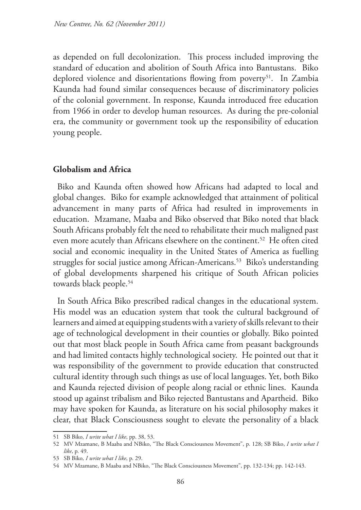as depended on full decolonization. This process included improving the standard of education and abolition of South Africa into Bantustans. Biko deplored violence and disorientations flowing from poverty<sup>51</sup>. In Zambia Kaunda had found similar consequences because of discriminatory policies of the colonial government. In response, Kaunda introduced free education from 1966 in order to develop human resources. As during the pre-colonial era, the community or government took up the responsibility of education young people.

### **Globalism and Africa**

Biko and Kaunda often showed how Africans had adapted to local and global changes. Biko for example acknowledged that attainment of political advancement in many parts of Africa had resulted in improvements in education. Mzamane, Maaba and Biko observed that Biko noted that black South Africans probably felt the need to rehabilitate their much maligned past even more acutely than Africans elsewhere on the continent.<sup>52</sup> He often cited social and economic inequality in the United States of America as fuelling struggles for social justice among African-Americans.<sup>53</sup> Biko's understanding of global developments sharpened his critique of South African policies towards black people.54

In South Africa Biko prescribed radical changes in the educational system. His model was an education system that took the cultural background of learners and aimed at equipping students with a variety of skills relevant to their age of technological development in their counties or globally. Biko pointed out that most black people in South Africa came from peasant backgrounds and had limited contacts highly technological society. He pointed out that it was responsibility of the government to provide education that constructed cultural identity through such things as use of local languages. Yet, both Biko and Kaunda rejected division of people along racial or ethnic lines. Kaunda stood up against tribalism and Biko rejected Bantustans and Apartheid. Biko may have spoken for Kaunda, as literature on his social philosophy makes it clear, that Black Consciousness sought to elevate the personality of a black

<sup>51</sup> SB Biko*, I write what I like*, pp. 38, 53.

<sup>52</sup> MV Mzamane, B Maaba and NBiko, "The Black Consciousness Movement", p. 128; SB Biko, *I write what I like*, p. 49.

<sup>53</sup> SB Biko*, I write what I like*, p. 29.

<sup>54</sup> MV Mzamane, B Maaba and NBiko, "The Black Consciousness Movement", pp. 132-134; pp. 142-143.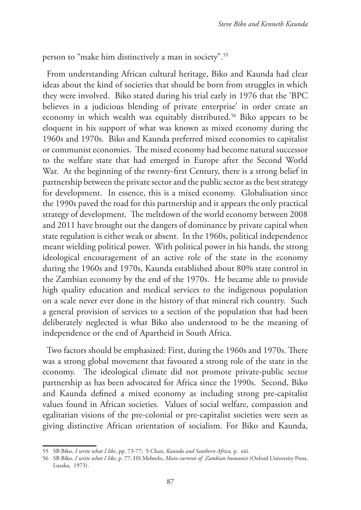person to "make him distinctively a man in society".55

From understanding African cultural heritage, Biko and Kaunda had clear ideas about the kind of societies that should be born from struggles in which they were involved. Biko stated during his trial early in 1976 that the 'BPC believes in a judicious blending of private enterprise' in order create an economy in which wealth was equitably distributed.<sup>56</sup> Biko appears to be eloquent in his support of what was known as mixed economy during the 1960s and 1970s. Biko and Kaunda preferred mixed economies to capitalist or communist economies. The mixed economy had become natural successor to the welfare state that had emerged in Europe after the Second World War. At the beginning of the twenty-first Century, there is a strong belief in partnership between the private sector and the public sector as the best strategy for development. In essence, this is a mixed economy. Globalisation since the 1990s paved the road for this partnership and it appears the only practical strategy of development. The meltdown of the world economy between 2008 and 2011 have brought out the dangers of dominance by private capital when state regulation is either weak or absent. In the 1960s, political independence meant wielding political power. With political power in his hands, the strong ideological encouragement of an active role of the state in the economy during the 1960s and 1970s, Kaunda established about 80% state control in the Zambian economy by the end of the 1970s. He became able to provide high quality education and medical services to the indigenous population on a scale never ever done in the history of that mineral rich country. Such a general provision of services to a section of the population that had been deliberately neglected is what Biko also understood to be the meaning of independence or the end of Apartheid in South Africa.

Two factors should be emphasized: First, during the 1960s and 1970s. There was a strong global movement that favoured a strong role of the state in the economy. The ideological climate did not promote private-public sector partnership as has been advocated for Africa since the 1990s. Second, Biko and Kaunda defined a mixed economy as including strong pre-capitalist values found in African societies. Values of social welfare, compassion and egalitarian visions of the pre-colonial or pre-capitalist societies were seen as giving distinctive African orientation of socialism. For Biko and Kaunda,

<sup>55</sup> SB Biko, *I write what I like*, pp. 73-77; S Chan, *Kaunda and Southern Africa,* p. xiii.

<sup>56</sup> SB Biko, *I write what I like*, p. 77; HS Mebeelo, *Main currents of Zambian humanist* (Oxford University Press, Lusaka, 1973).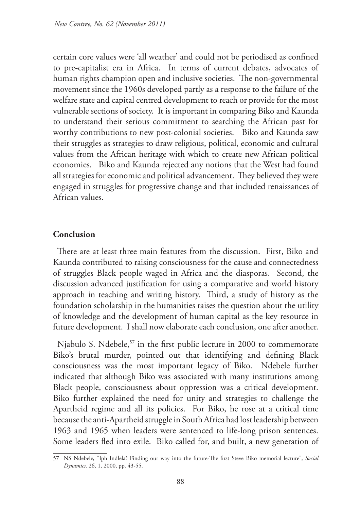certain core values were 'all weather' and could not be periodised as confined to pre-capitalist era in Africa. In terms of current debates, advocates of human rights champion open and inclusive societies. The non-governmental movement since the 1960s developed partly as a response to the failure of the welfare state and capital centred development to reach or provide for the most vulnerable sections of society. It is important in comparing Biko and Kaunda to understand their serious commitment to searching the African past for worthy contributions to new post-colonial societies. Biko and Kaunda saw their struggles as strategies to draw religious, political, economic and cultural values from the African heritage with which to create new African political economies. Biko and Kaunda rejected any notions that the West had found all strategies for economic and political advancement. They believed they were engaged in struggles for progressive change and that included renaissances of African values.

## **Conclusion**

There are at least three main features from the discussion. First, Biko and Kaunda contributed to raising consciousness for the cause and connectedness of struggles Black people waged in Africa and the diasporas. Second, the discussion advanced justification for using a comparative and world history approach in teaching and writing history. Third, a study of history as the foundation scholarship in the humanities raises the question about the utility of knowledge and the development of human capital as the key resource in future development. I shall now elaborate each conclusion, one after another.

Njabulo S. Ndebele,<sup>57</sup> in the first public lecture in 2000 to commemorate Biko's brutal murder, pointed out that identifying and defining Black consciousness was the most important legacy of Biko. Ndebele further indicated that although Biko was associated with many institutions among Black people, consciousness about oppression was a critical development. Biko further explained the need for unity and strategies to challenge the Apartheid regime and all its policies. For Biko, he rose at a critical time because the anti-Apartheid struggle in South Africa had lost leadership between 1963 and 1965 when leaders were sentenced to life-long prison sentences. Some leaders fled into exile. Biko called for, and built, a new generation of

<sup>57</sup> NS Ndebele, "Iph Indlela? Finding our way into the future-The first Steve Biko memorial lecture", *Social Dynamics,* 26, 1, 2000, pp. 43-55.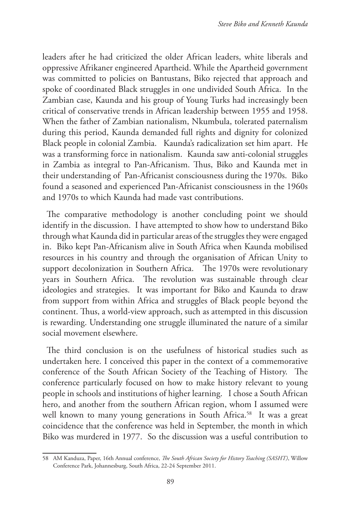leaders after he had criticized the older African leaders, white liberals and oppressive Afrikaner engineered Apartheid. While the Apartheid government was committed to policies on Bantustans, Biko rejected that approach and spoke of coordinated Black struggles in one undivided South Africa. In the Zambian case, Kaunda and his group of Young Turks had increasingly been critical of conservative trends in African leadership between 1955 and 1958. When the father of Zambian nationalism, Nkumbula, tolerated paternalism during this period, Kaunda demanded full rights and dignity for colonized Black people in colonial Zambia. Kaunda's radicalization set him apart. He was a transforming force in nationalism. Kaunda saw anti-colonial struggles in Zambia as integral to Pan-Africanism. Thus, Biko and Kaunda met in their understanding of Pan-Africanist consciousness during the 1970s. Biko found a seasoned and experienced Pan-Africanist consciousness in the 1960s and 1970s to which Kaunda had made vast contributions.

The comparative methodology is another concluding point we should identify in the discussion. I have attempted to show how to understand Biko through what Kaunda did in particular areas of the struggles they were engaged in. Biko kept Pan-Africanism alive in South Africa when Kaunda mobilised resources in his country and through the organisation of African Unity to support decolonization in Southern Africa. The 1970s were revolutionary years in Southern Africa. The revolution was sustainable through clear ideologies and strategies. It was important for Biko and Kaunda to draw from support from within Africa and struggles of Black people beyond the continent. Thus, a world-view approach, such as attempted in this discussion is rewarding. Understanding one struggle illuminated the nature of a similar social movement elsewhere.

The third conclusion is on the usefulness of historical studies such as undertaken here. I conceived this paper in the context of a commemorative conference of the South African Society of the Teaching of History. The conference particularly focused on how to make history relevant to young people in schools and institutions of higher learning. I chose a South African hero, and another from the southern African region, whom I assumed were well known to many young generations in South Africa.<sup>58</sup> It was a great coincidence that the conference was held in September, the month in which Biko was murdered in 1977. So the discussion was a useful contribution to

<sup>58</sup> AM Kanduza, Paper, 16th Annual conference, *The South African Society for History Teaching (SASHT)*, Willow Conference Park, Johannesburg, South Africa, 22-24 September 2011.